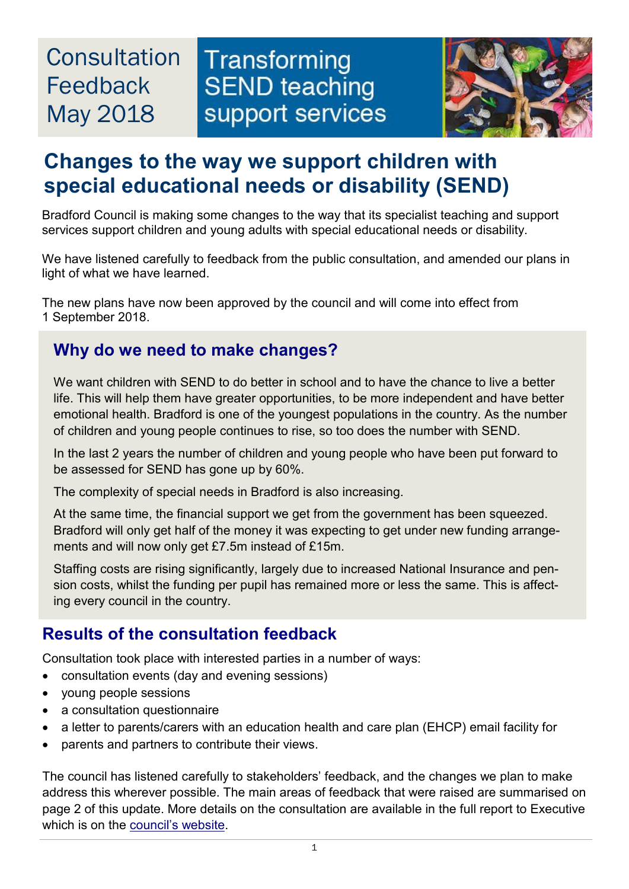# **Consultation** Feedback May 2018





## **Changes to the way we support children with special educational needs or disability (SEND)**

Bradford Council is making some changes to the way that its specialist teaching and support services support children and young adults with special educational needs or disability.

We have listened carefully to feedback from the public consultation, and amended our plans in light of what we have learned.

The new plans have now been approved by the council and will come into effect from 1 September 2018.

#### **Why do we need to make changes?**

We want children with SEND to do better in school and to have the chance to live a better life. This will help them have greater opportunities, to be more independent and have better emotional health. Bradford is one of the youngest populations in the country. As the number of children and young people continues to rise, so too does the number with SEND.

In the last 2 years the number of children and young people who have been put forward to be assessed for SEND has gone up by 60%.

The complexity of special needs in Bradford is also increasing.

At the same time, the financial support we get from the government has been squeezed. Bradford will only get half of the money it was expecting to get under new funding arrangements and will now only get £7.5m instead of £15m.

Staffing costs are rising significantly, largely due to increased National Insurance and pension costs, whilst the funding per pupil has remained more or less the same. This is affecting every council in the country.

#### **Results of the consultation feedback**

Consultation took place with interested parties in a number of ways:

- consultation events (day and evening sessions)
- young people sessions
- a consultation questionnaire
- a letter to parents/carers with an education health and care plan (EHCP) email facility for
- parents and partners to contribute their views.

The council has listened carefully to stakeholders' feedback, and the changes we plan to make address this wherever possible. The main areas of feedback that were raised are summarised on page 2 of this update. More details on the consultation are available in the full report to Executive which is on the [council's website.](https://www.bradford.gov.uk/education-and-skills/school-support-services/transforming-send-teaching-support-services/)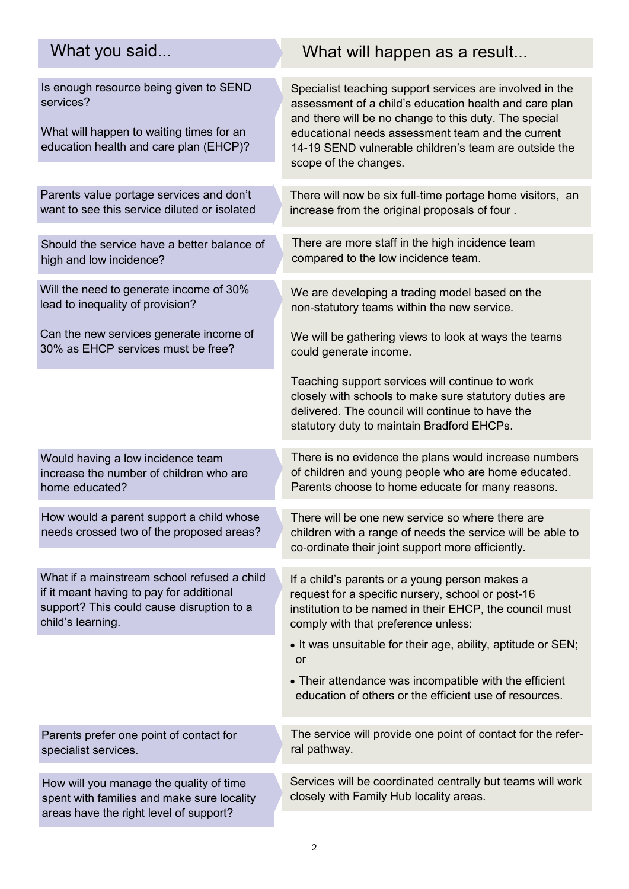#### Is enough resource being given to SEND services? What will happen to waiting times for an education health and care plan (EHCP)? Specialist teaching support services are involved in the assessment of a child's education health and care plan and there will be no change to this duty. The special educational needs assessment team and the current 14-19 SEND vulnerable children's team are outside the scope of the changes. Parents value portage services and don't want to see this service diluted or isolated How would a parent support a child whose needs crossed two of the proposed areas? Will the need to generate income of 30% lead to inequality of provision? Can the new services generate income of 30% as EHCP services must be free? Should the service have a better balance of high and low incidence? Would having a low incidence team increase the number of children who are home educated? How will you manage the quality of time spent with families and make sure locality What if a mainstream school refused a child if it meant having to pay for additional support? This could cause disruption to a child's learning. Parents prefer one point of contact for specialist services. There will now be six full-time portage home visitors, an increase from the original proposals of four . There are more staff in the high incidence team compared to the low incidence team. We are developing a trading model based on the non-statutory teams within the new service. We will be gathering views to look at ways the teams could generate income. Teaching support services will continue to work closely with schools to make sure statutory duties are delivered. The council will continue to have the statutory duty to maintain Bradford EHCPs. There will be one new service so where there are children with a range of needs the service will be able to co-ordinate their joint support more efficiently. If a child's parents or a young person makes a request for a specific nursery, school or post-16 institution to be named in their EHCP, the council must comply with that preference unless: • It was unsuitable for their age, ability, aptitude or SEN; or Their attendance was incompatible with the efficient education of others or the efficient use of resources. The service will provide one point of contact for the referral pathway. What will happen as a result... Services will be coordinated centrally but teams will work closely with Family Hub locality areas. What you said... There is no evidence the plans would increase numbers of children and young people who are home educated. Parents choose to home educate for many reasons.

areas have the right level of support?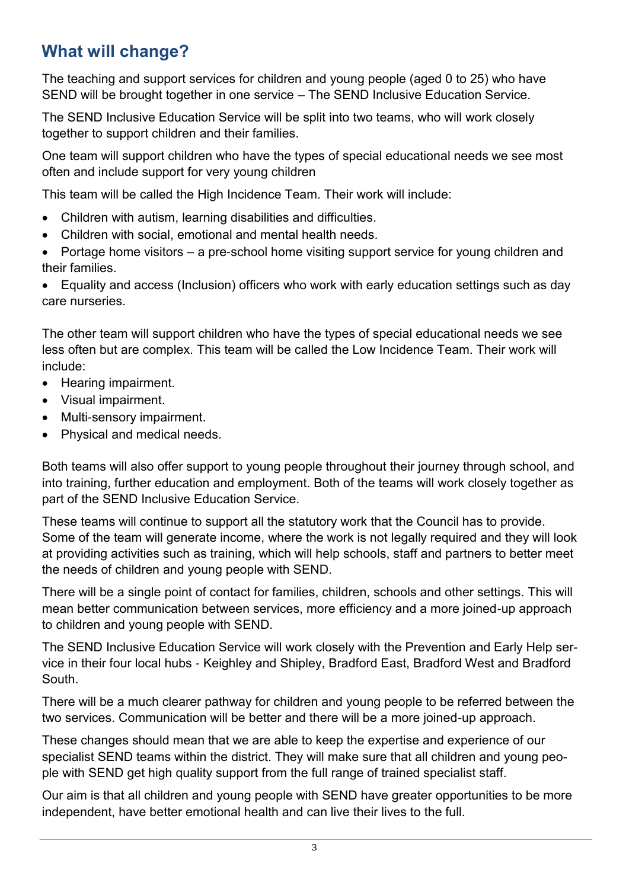#### **What will change?**

The teaching and support services for children and young people (aged 0 to 25) who have SEND will be brought together in one service – The SEND Inclusive Education Service.

The SEND Inclusive Education Service will be split into two teams, who will work closely together to support children and their families.

One team will support children who have the types of special educational needs we see most often and include support for very young children

This team will be called the High Incidence Team. Their work will include:

- Children with autism, learning disabilities and difficulties.
- Children with social, emotional and mental health needs.
- Portage home visitors a pre-school home visiting support service for young children and their families.

 Equality and access (Inclusion) officers who work with early education settings such as day care nurseries.

The other team will support children who have the types of special educational needs we see less often but are complex. This team will be called the Low Incidence Team. Their work will include:

- Hearing impairment.
- Visual impairment.
- Multi-sensory impairment.
- Physical and medical needs.

Both teams will also offer support to young people throughout their journey through school, and into training, further education and employment. Both of the teams will work closely together as part of the SEND Inclusive Education Service.

These teams will continue to support all the statutory work that the Council has to provide. Some of the team will generate income, where the work is not legally required and they will look at providing activities such as training, which will help schools, staff and partners to better meet the needs of children and young people with SEND.

There will be a single point of contact for families, children, schools and other settings. This will mean better communication between services, more efficiency and a more joined-up approach to children and young people with SEND.

The SEND Inclusive Education Service will work closely with the Prevention and Early Help service in their four local hubs - Keighley and Shipley, Bradford East, Bradford West and Bradford South.

There will be a much clearer pathway for children and young people to be referred between the two services. Communication will be better and there will be a more joined-up approach.

These changes should mean that we are able to keep the expertise and experience of our specialist SEND teams within the district. They will make sure that all children and young people with SEND get high quality support from the full range of trained specialist staff.

Our aim is that all children and young people with SEND have greater opportunities to be more independent, have better emotional health and can live their lives to the full.